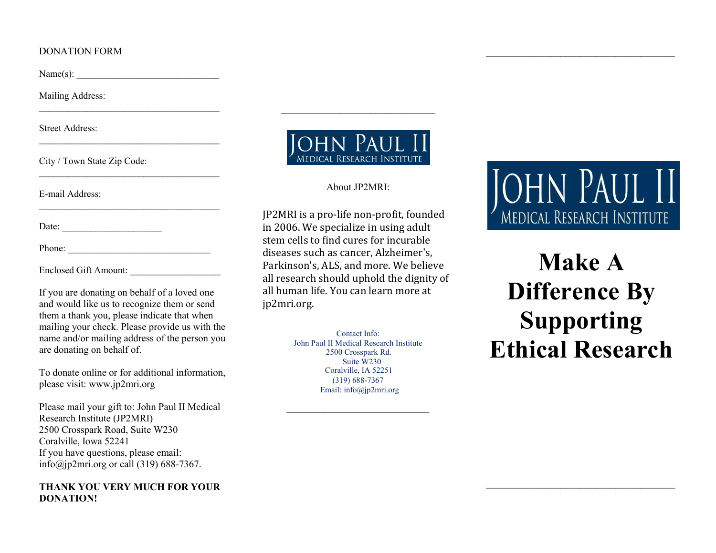## DONATION FORM

 $Name(s):$ 

Mailing Address:

Street Address:

City / Town State Zip Code:

E-mail Address:

Date:

Phone:

Enclosed Gift Amount:

If you are donating on behalf of a loved one and would like us to recognize them or send them a thank you, please indicate that when mailing your check. Please provide us with the name and/or mailing address of the person you are donating on behalf of.

\_\_\_\_\_\_\_\_\_\_\_\_\_\_\_\_\_\_\_\_\_\_\_\_\_\_\_\_\_\_\_\_\_\_\_\_\_\_

\_\_\_\_\_\_\_\_\_\_\_\_\_\_\_\_\_\_\_\_\_\_\_\_\_\_\_\_\_\_\_\_\_\_\_\_\_\_

\_\_\_\_\_\_\_\_\_\_\_\_\_\_\_\_\_\_\_\_\_\_\_\_\_\_\_\_\_\_\_\_\_\_\_\_\_\_

\_\_\_\_\_\_\_\_\_\_\_\_\_\_\_\_\_\_\_\_\_\_\_\_\_\_\_\_\_\_\_\_\_\_\_\_\_\_

To donate online or for additional information, please visit: www.jp2mri.org

Please mail your gift to: John Paul II Medical Research Institute (JP2MRI) 2500 Crosspark Road, Suite W230 Coralville, Iowa 52241 If you have questions, please email: info@jp2mri.org or call (319) 688-7367.

# **THANK YOU VERY MUCH FOR YOUR DONATION!**



\_\_\_\_\_\_\_\_\_\_\_\_\_\_\_\_\_\_\_\_\_\_\_\_\_\_\_\_\_\_\_

## About JP2MRI:

JP2MRI is a pro-life non-pro�it, founded in 2006. We specialize in using adult stem cells to find cures for incurable diseases such as cancer, Alzheimer's, Parkinson's, ALS, and more. We believe all research should uphold the dignity of all human life. You can learn more at jp2mri.org.

> Contact Info: John Paul II Medical Research Institute 2500 Crosspark Rd. Suite W230 Coralville, IA 52251 (319) 688-7367 Email: info@jp2mri.org

\_\_\_\_\_\_\_\_\_\_\_\_\_\_\_\_\_\_\_\_\_\_\_\_\_\_\_\_\_\_\_\_\_\_\_

# **JOHN PAUL II** MEDICAL RESEARCH INSTITUTE

\_\_\_\_\_\_\_\_\_\_\_\_\_\_\_\_\_\_\_\_\_\_\_\_\_\_\_\_\_\_\_\_\_\_\_\_\_\_

**Make A Difference By Supporting Ethical Research**

\_\_\_\_\_\_\_\_\_\_\_\_\_\_\_\_\_\_\_\_\_\_\_\_\_\_\_\_\_\_\_\_\_\_\_\_\_\_